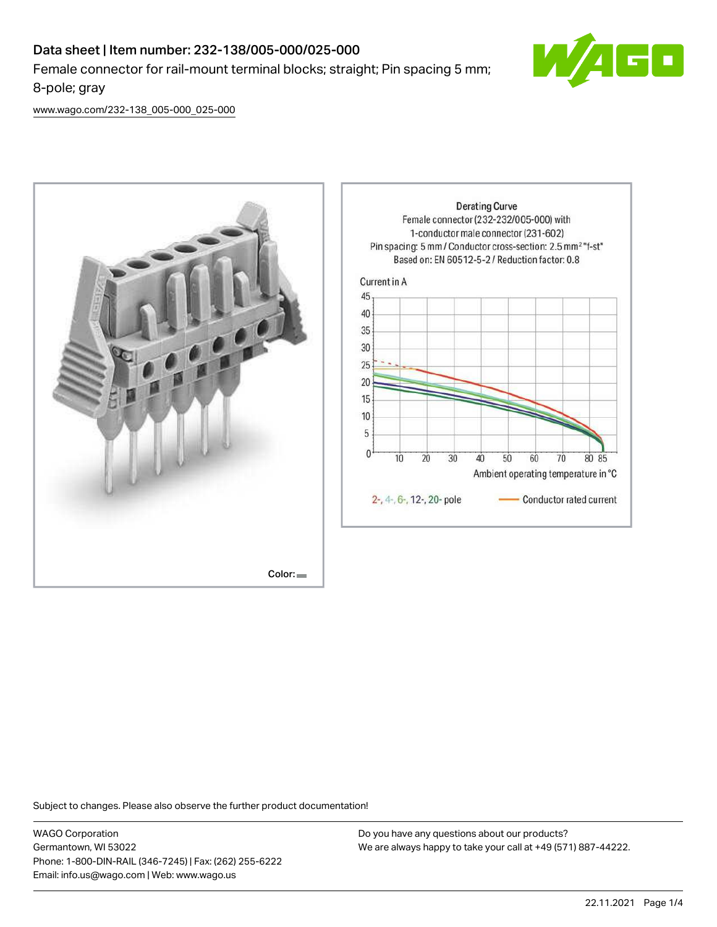

[www.wago.com/232-138\\_005-000\\_025-000](http://www.wago.com/232-138_005-000_025-000)



Subject to changes. Please also observe the further product documentation!

WAGO Corporation Germantown, WI 53022 Phone: 1-800-DIN-RAIL (346-7245) | Fax: (262) 255-6222 Email: info.us@wago.com | Web: www.wago.us

Do you have any questions about our products? We are always happy to take your call at +49 (571) 887-44222.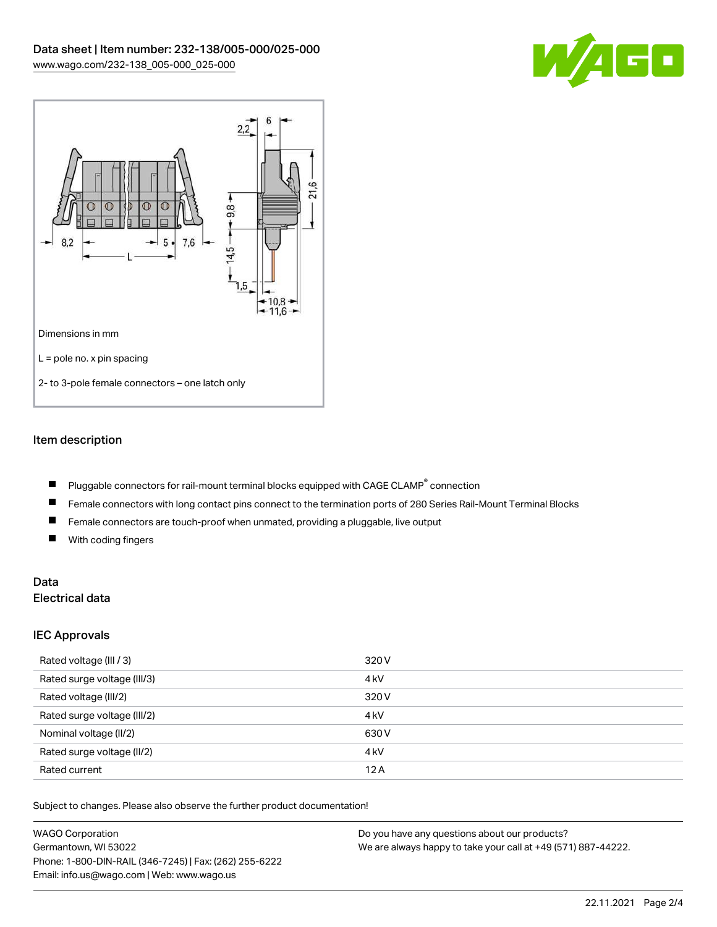



# Item description

- Pluggable connectors for rail-mount terminal blocks equipped with CAGE CLAMP $^{\circ}$  connection П
- $\blacksquare$ Female connectors with long contact pins connect to the termination ports of 280 Series Rail-Mount Terminal Blocks
- $\blacksquare$ Female connectors are touch-proof when unmated, providing a pluggable, live output
- $\blacksquare$ With coding fingers

## Data Electrical data

### IEC Approvals

| Rated voltage (III / 3)     | 320 V            |
|-----------------------------|------------------|
| Rated surge voltage (III/3) | 4 <sub>k</sub> V |
| Rated voltage (III/2)       | 320 V            |
| Rated surge voltage (III/2) | 4 <sub>k</sub> V |
| Nominal voltage (II/2)      | 630 V            |
| Rated surge voltage (II/2)  | 4 <sub>k</sub> V |
| Rated current               | 12A              |

Subject to changes. Please also observe the further product documentation!

| <b>WAGO Corporation</b>                                | Do you have any questions about our products?                 |  |
|--------------------------------------------------------|---------------------------------------------------------------|--|
| Germantown, WI 53022                                   | We are always happy to take your call at +49 (571) 887-44222. |  |
| Phone: 1-800-DIN-RAIL (346-7245)   Fax: (262) 255-6222 |                                                               |  |
| Email: info.us@wago.com   Web: www.wago.us             |                                                               |  |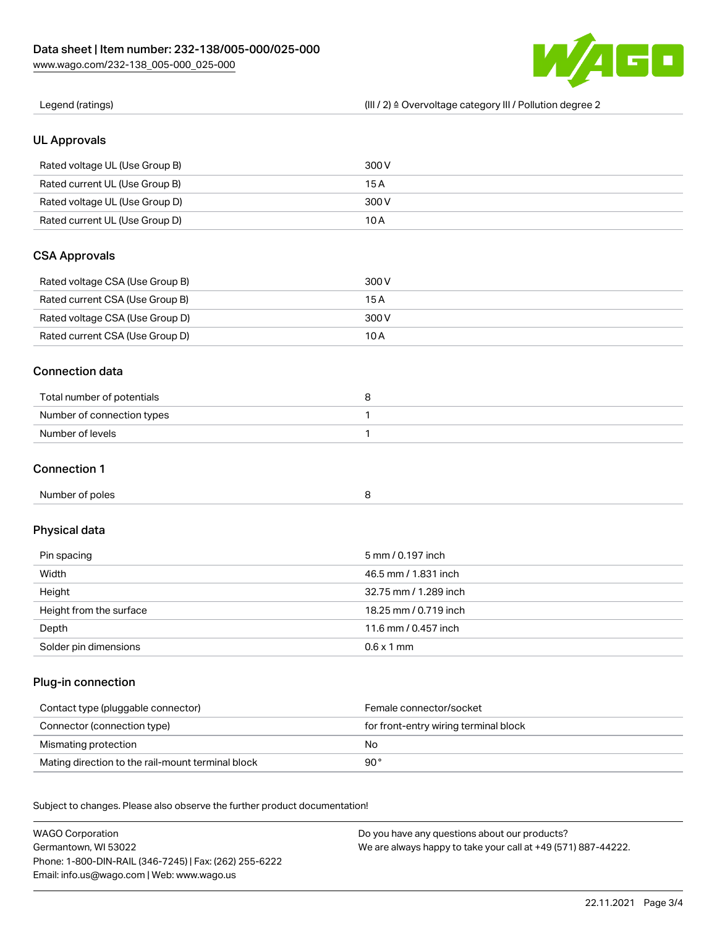Phone: 1-800-DIN-RAIL (346-7245) | Fax: (262) 255-6222

Email: info.us@wago.com | Web: www.wago.us



| Legend (ratings)                                                           | (III / 2) ≙ Overvoltage category III / Pollution degree 2                                                      |
|----------------------------------------------------------------------------|----------------------------------------------------------------------------------------------------------------|
| <b>UL Approvals</b>                                                        |                                                                                                                |
| Rated voltage UL (Use Group B)                                             | 300V                                                                                                           |
| Rated current UL (Use Group B)                                             | 15A                                                                                                            |
| Rated voltage UL (Use Group D)                                             | 300 V                                                                                                          |
| Rated current UL (Use Group D)                                             | 10A                                                                                                            |
| <b>CSA Approvals</b>                                                       |                                                                                                                |
| Rated voltage CSA (Use Group B)                                            | 300V                                                                                                           |
| Rated current CSA (Use Group B)                                            | 15A                                                                                                            |
| Rated voltage CSA (Use Group D)                                            | 300 V                                                                                                          |
| Rated current CSA (Use Group D)                                            | 10A                                                                                                            |
| <b>Connection data</b>                                                     |                                                                                                                |
| Total number of potentials                                                 | 8                                                                                                              |
| Number of connection types                                                 | 1                                                                                                              |
| Number of levels                                                           | $\mathbf{1}$                                                                                                   |
| <b>Connection 1</b>                                                        |                                                                                                                |
| Number of poles                                                            | 8                                                                                                              |
| Physical data                                                              |                                                                                                                |
| Pin spacing                                                                | 5 mm / 0.197 inch                                                                                              |
| Width                                                                      | 46.5 mm / 1.831 inch                                                                                           |
| Height                                                                     | 32.75 mm / 1.289 inch                                                                                          |
| Height from the surface                                                    | 18.25 mm / 0.719 inch                                                                                          |
| Depth                                                                      | 11.6 mm / 0.457 inch                                                                                           |
| Solder pin dimensions                                                      | $0.6 \times 1$ mm                                                                                              |
| Plug-in connection                                                         |                                                                                                                |
| Contact type (pluggable connector)                                         | Female connector/socket                                                                                        |
| Connector (connection type)                                                | for front-entry wiring terminal block                                                                          |
| Mismating protection                                                       | No                                                                                                             |
| Mating direction to the rail-mount terminal block                          | 90°                                                                                                            |
| Subject to changes. Please also observe the further product documentation! |                                                                                                                |
| <b>WAGO Corporation</b><br>Germantown, WI 53022                            | Do you have any questions about our products?<br>We are always happy to take your call at +49 (571) 887-44222. |

22.11.2021 Page 3/4